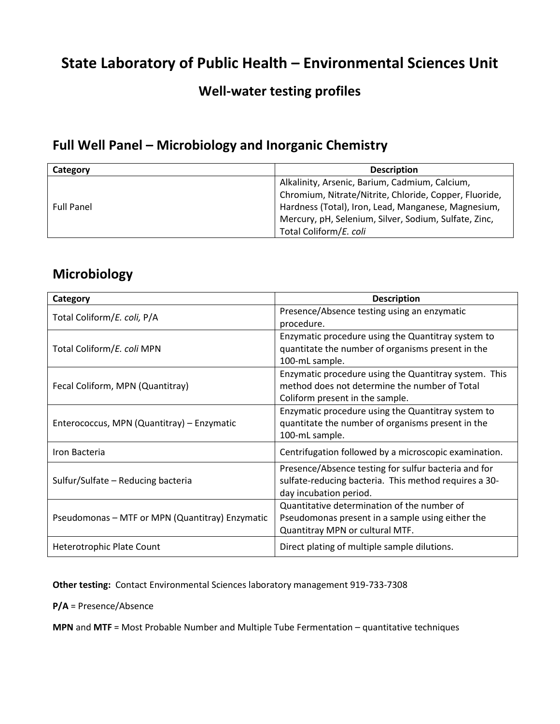## **State Laboratory of Public Health – Environmental Sciences Unit**

#### **Well-water testing profiles**

#### **Full Well Panel – Microbiology and Inorganic Chemistry**

| Category          | <b>Description</b>                                     |
|-------------------|--------------------------------------------------------|
| <b>Full Panel</b> | Alkalinity, Arsenic, Barium, Cadmium, Calcium,         |
|                   | Chromium, Nitrate/Nitrite, Chloride, Copper, Fluoride, |
|                   | Hardness (Total), Iron, Lead, Manganese, Magnesium,    |
|                   | Mercury, pH, Selenium, Silver, Sodium, Sulfate, Zinc,  |
|                   | Total Coliform/E. coli                                 |

#### **Microbiology**

| Category                                        | <b>Description</b>                                                                                                                        |
|-------------------------------------------------|-------------------------------------------------------------------------------------------------------------------------------------------|
| Total Coliform/E. coli, P/A                     | Presence/Absence testing using an enzymatic<br>procedure.                                                                                 |
| Total Coliform/E. coli MPN                      | Enzymatic procedure using the Quantitray system to<br>quantitate the number of organisms present in the<br>100-mL sample.                 |
| Fecal Coliform, MPN (Quantitray)                | Enzymatic procedure using the Quantitray system. This<br>method does not determine the number of Total<br>Coliform present in the sample. |
| Enterococcus, MPN (Quantitray) – Enzymatic      | Enzymatic procedure using the Quantitray system to<br>quantitate the number of organisms present in the<br>100-mL sample.                 |
| Iron Bacteria                                   | Centrifugation followed by a microscopic examination.                                                                                     |
| Sulfur/Sulfate – Reducing bacteria              | Presence/Absence testing for sulfur bacteria and for<br>sulfate-reducing bacteria. This method requires a 30-<br>day incubation period.   |
| Pseudomonas - MTF or MPN (Quantitray) Enzymatic | Quantitative determination of the number of<br>Pseudomonas present in a sample using either the<br>Quantitray MPN or cultural MTF.        |
| Heterotrophic Plate Count                       | Direct plating of multiple sample dilutions.                                                                                              |

**Other testing:** Contact Environmental Sciences laboratory management 919-733-7308

**P/A** = Presence/Absence

**MPN** and **MTF** = Most Probable Number and Multiple Tube Fermentation – quantitative techniques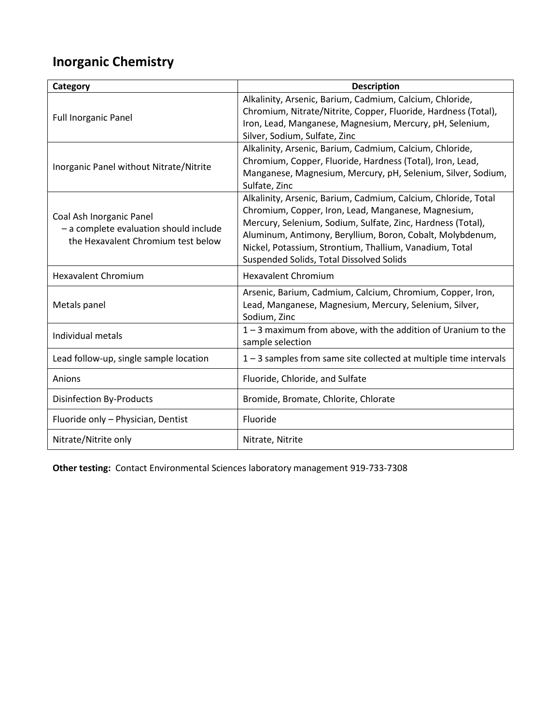# **Inorganic Chemistry**

| Category                                                                                                 | <b>Description</b>                                                                                                                                                                                                                                                                                                                                       |
|----------------------------------------------------------------------------------------------------------|----------------------------------------------------------------------------------------------------------------------------------------------------------------------------------------------------------------------------------------------------------------------------------------------------------------------------------------------------------|
| <b>Full Inorganic Panel</b>                                                                              | Alkalinity, Arsenic, Barium, Cadmium, Calcium, Chloride,<br>Chromium, Nitrate/Nitrite, Copper, Fluoride, Hardness (Total),<br>Iron, Lead, Manganese, Magnesium, Mercury, pH, Selenium,<br>Silver, Sodium, Sulfate, Zinc                                                                                                                                  |
| Inorganic Panel without Nitrate/Nitrite                                                                  | Alkalinity, Arsenic, Barium, Cadmium, Calcium, Chloride,<br>Chromium, Copper, Fluoride, Hardness (Total), Iron, Lead,<br>Manganese, Magnesium, Mercury, pH, Selenium, Silver, Sodium,<br>Sulfate, Zinc                                                                                                                                                   |
| Coal Ash Inorganic Panel<br>- a complete evaluation should include<br>the Hexavalent Chromium test below | Alkalinity, Arsenic, Barium, Cadmium, Calcium, Chloride, Total<br>Chromium, Copper, Iron, Lead, Manganese, Magnesium,<br>Mercury, Selenium, Sodium, Sulfate, Zinc, Hardness (Total),<br>Aluminum, Antimony, Beryllium, Boron, Cobalt, Molybdenum,<br>Nickel, Potassium, Strontium, Thallium, Vanadium, Total<br>Suspended Solids, Total Dissolved Solids |
| <b>Hexavalent Chromium</b>                                                                               | <b>Hexavalent Chromium</b>                                                                                                                                                                                                                                                                                                                               |
| Metals panel                                                                                             | Arsenic, Barium, Cadmium, Calcium, Chromium, Copper, Iron,<br>Lead, Manganese, Magnesium, Mercury, Selenium, Silver,<br>Sodium, Zinc                                                                                                                                                                                                                     |
| Individual metals                                                                                        | 1-3 maximum from above, with the addition of Uranium to the<br>sample selection                                                                                                                                                                                                                                                                          |
| Lead follow-up, single sample location                                                                   | 1-3 samples from same site collected at multiple time intervals                                                                                                                                                                                                                                                                                          |
| Anions                                                                                                   | Fluoride, Chloride, and Sulfate                                                                                                                                                                                                                                                                                                                          |
| <b>Disinfection By-Products</b>                                                                          | Bromide, Bromate, Chlorite, Chlorate                                                                                                                                                                                                                                                                                                                     |
| Fluoride only - Physician, Dentist                                                                       | Fluoride                                                                                                                                                                                                                                                                                                                                                 |
| Nitrate/Nitrite only                                                                                     | Nitrate, Nitrite                                                                                                                                                                                                                                                                                                                                         |

**Other testing:** Contact Environmental Sciences laboratory management 919-733-7308